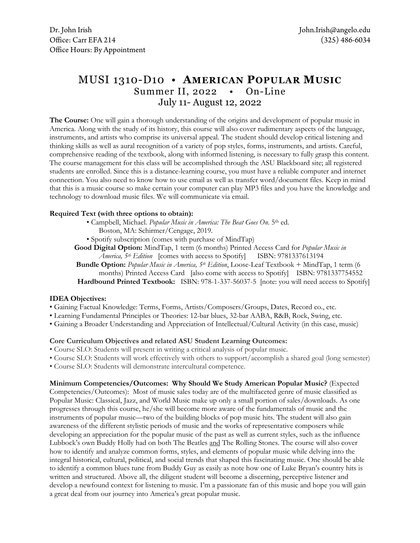# MUSI 1310-D10 • **AMERICAN POPULAR MUSIC**  Summer II, 2022 • On-Line July 11- August 12, 2022

**The Course:** One will gain a thorough understanding of the origins and development of popular music in America. Along with the study of its history, this course will also cover rudimentary aspects of the language, instruments, and artists who comprise its universal appeal. The student should develop critical listening and thinking skills as well as aural recognition of a variety of pop styles, forms, instruments, and artists. Careful, comprehensive reading of the textbook, along with informed listening, is necessary to fully grasp this content. The course management for this class will be accomplished through the ASU Blackboard site; all registered students are enrolled. Since this is a distance-learning course, you must have a reliable computer and internet connection. You also need to know how to use email as well as transfer word/document files. Keep in mind that this is a music course so make certain your computer can play MP3 files and you have the knowledge and technology to download music files. We will communicate via email.

### **Required Text (with three options to obtain):**

- Campbell, Michael. *Popular Music in America: The Beat Goes On*. 5th ed.
	- Boston, MA: Schirmer/Cengage, 2019.
- Spotify subscription (comes with purchase of MindTap)

**Good Digital Option:** MindTap, 1 term (6 months) Printed Access Card for *Popular Music in America, 5th Edition* [comes with access to Spotify] ISBN: 9781337613194

**Bundle Option:** *Popular Music in America, 5th Edition*, Loose-Leaf Textbook + MindTap, 1 term (6 months) Printed Access Card [also come with access to Spotify] ISBN: 9781337754552 **Hardbound Printed Textbook:** ISBN: 978-1-337-56037-5 [note: you will need access to Spotify]

### **IDEA Objectives:**

- Gaining Factual Knowledge: Terms, Forms, Artists/Composers/Groups, Dates, Record co., etc.
- Learning Fundamental Principles or Theories: 12-bar blues, 32-bar AABA, R&B, Rock, Swing, etc.
- Gaining a Broader Understanding and Appreciation of Intellectual/Cultural Activity (in this case, music)

### **Core Curriculum Objectives and related ASU Student Learning Outcomes:**

- Course SLO: Students will present in writing a critical analysis of popular music.
- Course SLO: Students will work effectively with others to support/accomplish a shared goal (long semester)
- Course SLO: Students will demonstrate intercultural competence.

## **Minimum Competencies/Outcomes: Why Should We Study American Popular Music?** (Expected

Competencies/Outcomes): Most of music sales today are of the multifaceted genre of music classified as Popular Music: Classical, Jazz, and World Music make up only a small portion of sales/downloads. As one progresses through this course, he/she will become more aware of the fundamentals of music and the instruments of popular music—two of the building blocks of pop music hits. The student will also gain awareness of the different stylistic periods of music and the works of representative composers while developing an appreciation for the popular music of the past as well as current styles, such as the influence Lubbock's own Buddy Holly had on both The Beatles and The Rolling Stones. The course will also cover how to identify and analyze common forms, styles, and elements of popular music while delving into the integral historical, cultural, political, and social trends that shaped this fascinating music. One should be able to identify a common blues tune from Buddy Guy as easily as note how one of Luke Bryan's country hits is written and structured. Above all, the diligent student will become a discerning, perceptive listener and develop a newfound context for listening to music. I'm a passionate fan of this music and hope you will gain a great deal from our journey into America's great popular music.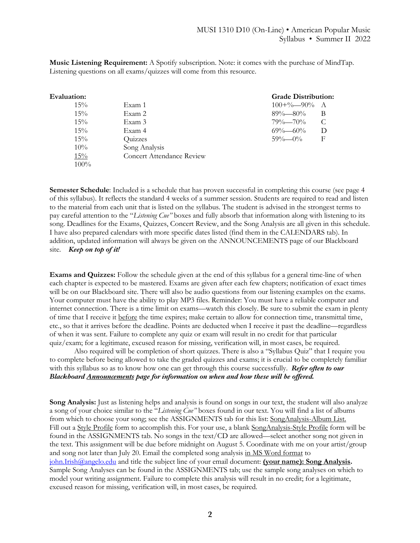**Music Listening Requirement:** A Spotify subscription. Note: it comes with the purchase of MindTap. Listening questions on all exams/quizzes will come from this resource.

| $15\%$ | Exam 1                    |
|--------|---------------------------|
| 15%    | Exam 2                    |
| 15%    | Exam 3                    |
| 15%    | Exam 4                    |
| 15%    | Quizzes                   |
| 10%    | Song Analysis             |
| 15%    | Concert Attendance Review |
| 100%   |                           |
|        |                           |

#### **Evaluation: Grade Distribution:**  $100+% -90%$  A 89%—80% B  $79\% - 70\%$  C  $69\% - 60\%$  D 59%—0% F

**Semester Schedule**: Included is a schedule that has proven successful in completing this course (see page 4 of this syllabus). It reflects the standard 4 weeks of a summer session. Students are required to read and listen to the material from each unit that is listed on the syllabus. The student is advised in the strongest terms to pay careful attention to the "*Listening Cue"* boxes and fully absorb that information along with listening to its song. Deadlines for the Exams, Quizzes, Concert Review, and the Song Analysis are all given in this schedule. I have also prepared calendars with more specific dates listed (find them in the CALENDARS tab). In addition, updated information will always be given on the ANNOUNCEMENTS page of our Blackboard site. *Keep on top of it!*

**Exams and Quizzes:** Follow the schedule given at the end of this syllabus for a general time-line of when each chapter is expected to be mastered. Exams are given after each few chapters; notification of exact times will be on our Blackboard site. There will also be audio questions from our listening examples on the exams. Your computer must have the ability to play MP3 files. Reminder: You must have a reliable computer and internet connection. There is a time limit on exams—watch this closely. Be sure to submit the exam in plenty of time that I receive it before the time expires; make certain to allow for connection time, transmittal time, etc., so that it arrives before the deadline. Points are deducted when I receive it past the deadline—regardless of when it was sent. Failure to complete any quiz or exam will result in no credit for that particular quiz/exam; for a legitimate, excused reason for missing, verification will, in most cases, be required.

Also required will be completion of short quizzes. There is also a "Syllabus Quiz" that I require you to complete before being allowed to take the graded quizzes and exams; it is crucial to be completely familiar with this syllabus so as to know how one can get through this course successfully. *Refer often to our Blackboard Announcements page for information on when and how these will be offered.*

**Song Analysis:** Just as listening helps and analysis is found on songs in our text, the student will also analyze a song of your choice similar to the "*Listening Cue"* boxes found in our text. You will find a list of albums from which to choose your song; see the ASSIGNMENTS tab for this list: SongAnalysis-Album List. Fill out a Style Profile form to accomplish this. For your use, a blank SongAnalysis-Style Profile form will be found in the ASSIGNMENTS tab. No songs in the text/CD are allowed—select another song not given in the text. This assignment will be due before midnight on August 5. Coordinate with me on your artist/group and song not later than July 20. Email the completed song analysis in MS Word format to john.Irish@angelo.edu and title the subject line of your email document: **(your name): Song Analysis.**  Sample Song Analyses can be found in the ASSIGNMENTS tab; use the sample song analyses on which to model your writing assignment. Failure to complete this analysis will result in no credit; for a legitimate, excused reason for missing, verification will, in most cases, be required.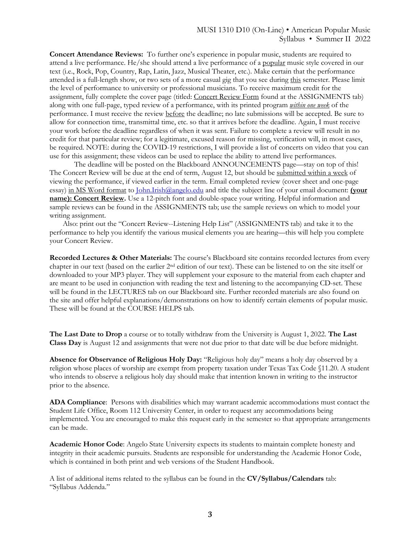**Concert Attendance Reviews:** To further one's experience in popular music, students are required to attend a live performance. He/she should attend a live performance of a popular music style covered in our text (i.e., Rock, Pop, Country, Rap, Latin, Jazz, Musical Theater, etc.). Make certain that the performance attended is a full-length show, or two sets of a more casual gig that you see during this semester. Please limit the level of performance to university or professional musicians. To receive maximum credit for the assignment, fully complete the cover page (titled: Concert Review Form found at the ASSIGNMENTS tab) along with one full-page, typed review of a performance, with its printed program *within one week* of the performance. I must receive the review before the deadline; no late submissions will be accepted. Be sure to allow for connection time, transmittal time, etc. so that it arrives before the deadline. Again, I must receive your work before the deadline regardless of when it was sent. Failure to complete a review will result in no credit for that particular review; for a legitimate, excused reason for missing, verification will, in most cases, be required. NOTE: during the COVID-19 restrictions, I will provide a list of concerts on video that you can use for this assignment; these videos can be used to replace the ability to attend live performances.

The deadline will be posted on the Blackboard ANNOUNCEMENTS page—stay on top of this! The Concert Review will be due at the end of term, August 12, but should be submitted within a week of viewing the performance, if viewed earlier in the term. Email completed review (cover sheet and one-page essay) in MS Word format to John.Irish@angelo.edu and title the subject line of your email document: **(your name): Concert Review.** Use a 12-pitch font and double-space your writing. Helpful information and sample reviews can be found in the ASSIGNMENTS tab; use the sample reviews on which to model your writing assignment.

 Also: print out the "Concert Review--Listening Help List" (ASSIGNMENTS tab) and take it to the performance to help you identify the various musical elements you are hearing—this will help you complete your Concert Review.

**Recorded Lectures & Other Materials:** The course's Blackboard site contains recorded lectures from every chapter in our text (based on the earlier 2nd edition of our text). These can be listened to on the site itself or downloaded to your MP3 player. They will supplement your exposure to the material from each chapter and are meant to be used in conjunction with reading the text and listening to the accompanying CD-set. These will be found in the LECTURES tab on our Blackboard site. Further recorded materials are also found on the site and offer helpful explanations/demonstrations on how to identify certain elements of popular music. These will be found at the COURSE HELPS tab.

**The Last Date to Drop** a course or to totally withdraw from the University is August 1, 2022. **The Last Class Day** is August 12 and assignments that were not due prior to that date will be due before midnight.

**Absence for Observance of Religious Holy Day:** "Religious holy day" means a holy day observed by a religion whose places of worship are exempt from property taxation under Texas Tax Code §11.20. A student who intends to observe a religious holy day should make that intention known in writing to the instructor prior to the absence.

**ADA Compliance**: Persons with disabilities which may warrant academic accommodations must contact the Student Life Office, Room 112 University Center, in order to request any accommodations being implemented. You are encouraged to make this request early in the semester so that appropriate arrangements can be made.

**Academic Honor Code**: Angelo State University expects its students to maintain complete honesty and integrity in their academic pursuits. Students are responsible for understanding the Academic Honor Code, which is contained in both print and web versions of the Student Handbook*.*

A list of additional items related to the syllabus can be found in the **CV/Syllabus/Calendars** tab: "Syllabus Addenda."